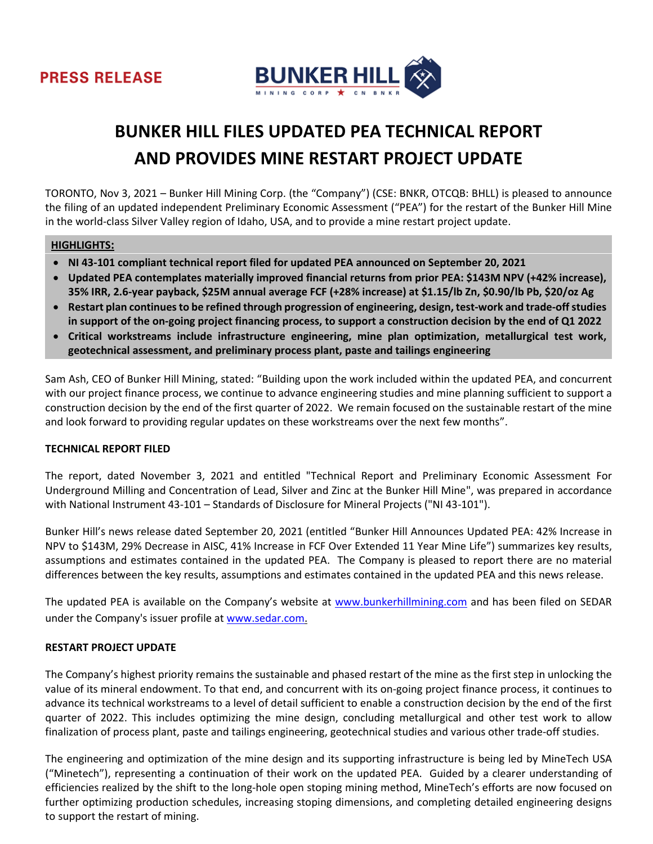



# **BUNKER HILL FILES UPDATED PEA TECHNICAL REPORT AND PROVIDES MINE RESTART PROJECT UPDATE**

TORONTO, Nov 3, 2021 – Bunker Hill Mining Corp. (the "Company") (CSE: BNKR, OTCQB: BHLL) is pleased to announce the filing of an updated independent Preliminary Economic Assessment ("PEA") for the restart of the Bunker Hill Mine in the world-class Silver Valley region of Idaho, USA, and to provide a mine restart project update.

### **HIGHLIGHTS:**

- **NI 43-101 compliant technical report filed for updated PEA announced on September 20, 2021**
- **Updated PEA contemplates materially improved financial returns from prior PEA: \$143M NPV (+42% increase), 35% IRR, 2.6-year payback, \$25M annual average FCF (+28% increase) at \$1.15/lb Zn, \$0.90/lb Pb, \$20/oz Ag**
- **Restart plan continues to be refined through progression of engineering, design, test-work and trade-off studies in support of the on-going project financing process, to support a construction decision by the end of Q1 2022**
- **Critical workstreams include infrastructure engineering, mine plan optimization, metallurgical test work, geotechnical assessment, and preliminary process plant, paste and tailings engineering**

Sam Ash, CEO of Bunker Hill Mining, stated: "Building upon the work included within the updated PEA, and concurrent with our project finance process, we continue to advance engineering studies and mine planning sufficient to support a construction decision by the end of the first quarter of 2022. We remain focused on the sustainable restart of the mine and look forward to providing regular updates on these workstreams over the next few months".

# **TECHNICAL REPORT FILED**

The report, dated November 3, 2021 and entitled "Technical Report and Preliminary Economic Assessment For Underground Milling and Concentration of Lead, Silver and Zinc at the Bunker Hill Mine", was prepared in accordance with National Instrument 43-101 – Standards of Disclosure for Mineral Projects ("NI 43-101").

Bunker Hill's news release dated September 20, 2021 (entitled "Bunker Hill Announces Updated PEA: 42% Increase in NPV to \$143M, 29% Decrease in AISC, 41% Increase in FCF Over Extended 11 Year Mine Life") summarizes key results, assumptions and estimates contained in the updated PEA. The Company is pleased to report there are no material differences between the key results, assumptions and estimates contained in the updated PEA and this news release.

The updated PEA is available on the Company's website at [www.bunkerhillmining.com](http://www.bunkerhillmining.com/) and has been filed on SEDAR under the Company's issuer profile a[t www.sedar.com.](http://www.sedar.com/)

# **RESTART PROJECT UPDATE**

The Company's highest priority remains the sustainable and phased restart of the mine as the first step in unlocking the value of its mineral endowment. To that end, and concurrent with its on-going project finance process, it continues to advance its technical workstreams to a level of detail sufficient to enable a construction decision by the end of the first quarter of 2022. This includes optimizing the mine design, concluding metallurgical and other test work to allow finalization of process plant, paste and tailings engineering, geotechnical studies and various other trade-off studies.

The engineering and optimization of the mine design and its supporting infrastructure is being led by MineTech USA ("Minetech"), representing a continuation of their work on the updated PEA. Guided by a clearer understanding of efficiencies realized by the shift to the long-hole open stoping mining method, MineTech's efforts are now focused on further optimizing production schedules, increasing stoping dimensions, and completing detailed engineering designs to support the restart of mining.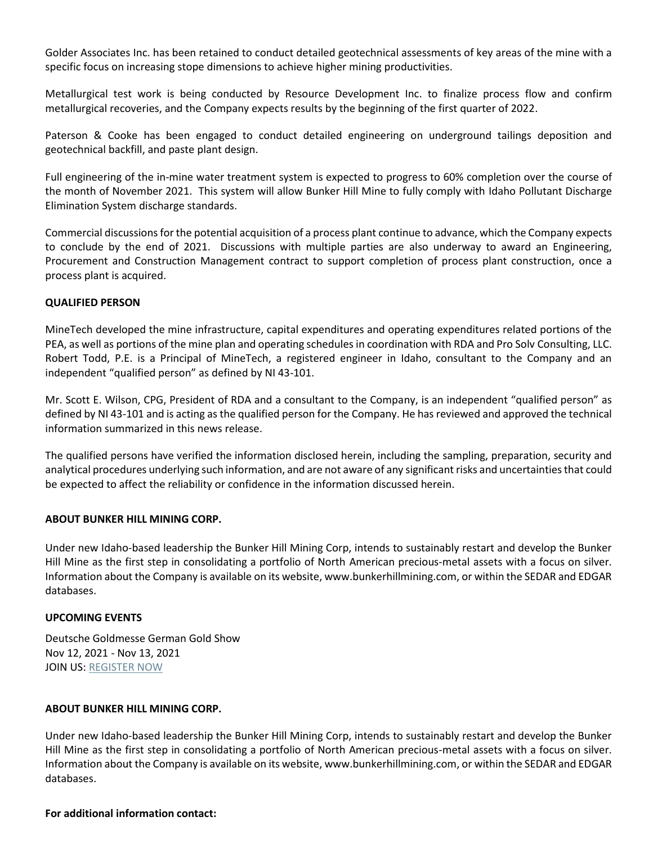Golder Associates Inc. has been retained to conduct detailed geotechnical assessments of key areas of the mine with a specific focus on increasing stope dimensions to achieve higher mining productivities.

Metallurgical test work is being conducted by Resource Development Inc. to finalize process flow and confirm metallurgical recoveries, and the Company expects results by the beginning of the first quarter of 2022.

Paterson & Cooke has been engaged to conduct detailed engineering on underground tailings deposition and geotechnical backfill, and paste plant design.

Full engineering of the in-mine water treatment system is expected to progress to 60% completion over the course of the month of November 2021. This system will allow Bunker Hill Mine to fully comply with Idaho Pollutant Discharge Elimination System discharge standards.

Commercial discussions for the potential acquisition of a process plant continue to advance, which the Company expects to conclude by the end of 2021. Discussions with multiple parties are also underway to award an Engineering, Procurement and Construction Management contract to support completion of process plant construction, once a process plant is acquired.

### **QUALIFIED PERSON**

MineTech developed the mine infrastructure, capital expenditures and operating expenditures related portions of the PEA, as well as portions of the mine plan and operating schedules in coordination with RDA and Pro Solv Consulting, LLC. Robert Todd, P.E. is a Principal of MineTech, a registered engineer in Idaho, consultant to the Company and an independent "qualified person" as defined by NI 43-101.

Mr. Scott E. Wilson, CPG, President of RDA and a consultant to the Company, is an independent "qualified person" as defined by NI 43-101 and is acting as the qualified person for the Company. He has reviewed and approved the technical information summarized in this news release.

The qualified persons have verified the information disclosed herein, including the sampling, preparation, security and analytical procedures underlying such information, and are not aware of any significant risks and uncertainties that could be expected to affect the reliability or confidence in the information discussed herein.

# **ABOUT BUNKER HILL MINING CORP.**

Under new Idaho-based leadership the Bunker Hill Mining Corp, intends to sustainably restart and develop the Bunker Hill Mine as the first step in consolidating a portfolio of North American precious-metal assets with a focus on silver. Information about the Company is available on its website, www.bunkerhillmining.com, or within the SEDAR and EDGAR databases.

# **UPCOMING EVENTS**

Deutsche Goldmesse German Gold Show Nov 12, 2021 - Nov 13, 2021 JOIN US: [REGISTER NOW](https://deutschegoldmesse.online/)

#### **ABOUT BUNKER HILL MINING CORP.**

Under new Idaho-based leadership the Bunker Hill Mining Corp, intends to sustainably restart and develop the Bunker Hill Mine as the first step in consolidating a portfolio of North American precious-metal assets with a focus on silver. Information about the Company is available on its website, www.bunkerhillmining.com, or within the SEDAR and EDGAR databases.

#### **For additional information contact:**